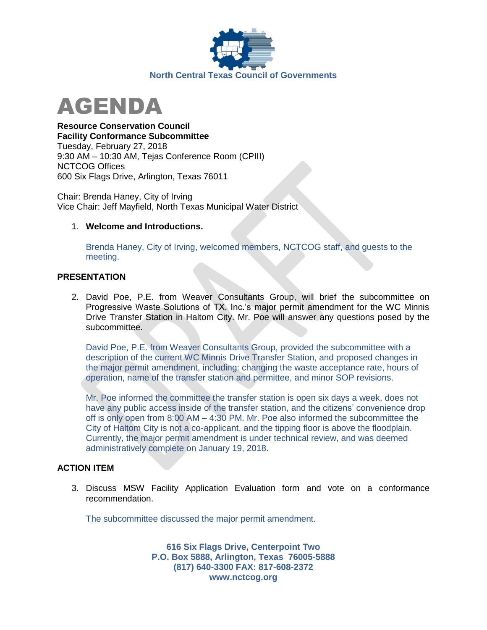



**Resource Conservation Council Facility Conformance Subcommittee** Tuesday, February 27, 2018 9:30 AM – 10:30 AM, Tejas Conference Room (CPIII) NCTCOG Offices 600 Six Flags Drive, Arlington, Texas 76011

Chair: Brenda Haney, City of Irving Vice Chair: Jeff Mayfield, North Texas Municipal Water District

## 1. **Welcome and Introductions.**

Brenda Haney, City of Irving, welcomed members, NCTCOG staff, and guests to the meeting.

## **PRESENTATION**

2. David Poe, P.E. from Weaver Consultants Group, will brief the subcommittee on Progressive Waste Solutions of TX, Inc.'s major permit amendment for the WC Minnis Drive Transfer Station in Haltom City. Mr. Poe will answer any questions posed by the subcommittee.

David Poe, P.E. from Weaver Consultants Group, provided the subcommittee with a description of the current WC Minnis Drive Transfer Station, and proposed changes in the major permit amendment, including: changing the waste acceptance rate, hours of operation, name of the transfer station and permittee, and minor SOP revisions.

Mr. Poe informed the committee the transfer station is open six days a week, does not have any public access inside of the transfer station, and the citizens' convenience drop off is only open from 8:00 AM – 4:30 PM. Mr. Poe also informed the subcommittee the City of Haltom City is not a co-applicant, and the tipping floor is above the floodplain. Currently, the major permit amendment is under technical review, and was deemed administratively complete on January 19, 2018.

## **ACTION ITEM**

3. Discuss MSW Facility Application Evaluation form and vote on a conformance recommendation.

The subcommittee discussed the major permit amendment.

**616 Six Flags Drive, Centerpoint Two P.O. Box 5888, Arlington, Texas 76005-5888 (817) 640-3300 FAX: 817-608-2372 www.nctcog.org**